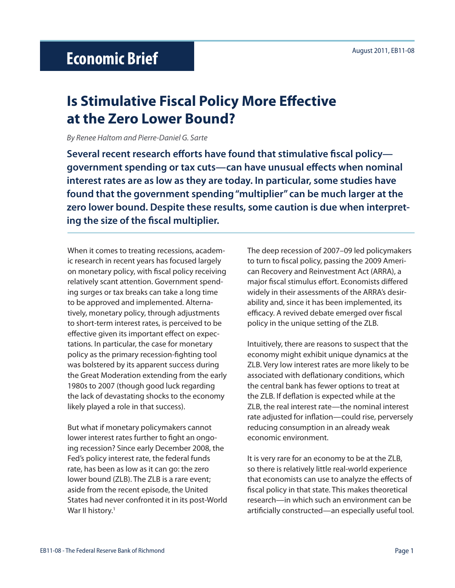# **Is Stimulative Fiscal Policy More Effective at the Zero Lower Bound?**

*By Renee Haltom and Pierre-Daniel G. Sarte*

**Several recent research efforts have found that stimulative fiscal policy government spending or tax cuts—can have unusual effects when nominal interest rates are as low as they are today. In particular, some studies have found that the government spending "multiplier" can be much larger at the zero lower bound. Despite these results, some caution is due when interpreting the size of the fiscal multiplier.** 

When it comes to treating recessions, academic research in recent years has focused largely on monetary policy, with fiscal policy receiving relatively scant attention. Government spending surges or tax breaks can take a long time to be approved and implemented. Alternatively, monetary policy, through adjustments to short-term interest rates, is perceived to be effective given its important effect on expectations. In particular, the case for monetary policy as the primary recession-fighting tool was bolstered by its apparent success during the Great Moderation extending from the early 1980s to 2007 (though good luck regarding the lack of devastating shocks to the economy likely played a role in that success).

But what if monetary policymakers cannot lower interest rates further to fight an ongoing recession? Since early December 2008, the Fed's policy interest rate, the federal funds rate, has been as low as it can go: the zero lower bound (ZLB). The ZLB is a rare event; aside from the recent episode, the United States had never confronted it in its post-World War II history.<sup>1</sup>

The deep recession of 2007–09 led policymakers to turn to fiscal policy, passing the 2009 American Recovery and Reinvestment Act (ARRA), a major fiscal stimulus effort. Economists differed widely in their assessments of the ARRA's desirability and, since it has been implemented, its efficacy. A revived debate emerged over fiscal policy in the unique setting of the ZLB.

Intuitively, there are reasons to suspect that the economy might exhibit unique dynamics at the ZLB. Very low interest rates are more likely to be associated with deflationary conditions, which the central bank has fewer options to treat at the ZLB. If deflation is expected while at the ZLB, the real interest rate—the nominal interest rate adjusted for inflation—could rise, perversely reducing consumption in an already weak economic environment.

It is very rare for an economy to be at the ZLB, so there is relatively little real-world experience that economists can use to analyze the effects of fiscal policy in that state. This makes theoretical research—in which such an environment can be artificially constructed—an especially useful tool.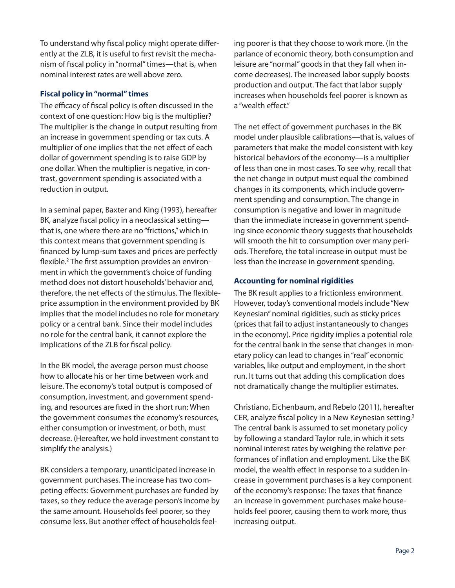To understand why fiscal policy might operate differently at the ZLB, it is useful to first revisit the mechanism of fiscal policy in "normal" times—that is, when nominal interest rates are well above zero.

## **Fiscal policy in "normal" times**

The efficacy of fiscal policy is often discussed in the context of one question: How big is the multiplier? The multiplier is the change in output resulting from an increase in government spending or tax cuts. A multiplier of one implies that the net effect of each dollar of government spending is to raise GDP by one dollar. When the multiplier is negative, in contrast, government spending is associated with a reduction in output.

In a seminal paper, Baxter and King (1993), hereafter BK, analyze fiscal policy in a neoclassical setting that is, one where there are no "frictions," which in this context means that government spending is financed by lump-sum taxes and prices are perfectly flexible.<sup>2</sup> The first assumption provides an environment in which the government's choice of funding method does not distort households' behavior and, therefore, the net effects of the stimulus. The flexibleprice assumption in the environment provided by BK implies that the model includes no role for monetary policy or a central bank. Since their model includes no role for the central bank, it cannot explore the implications of the ZLB for fiscal policy.

In the BK model, the average person must choose how to allocate his or her time between work and leisure. The economy's total output is composed of consumption, investment, and government spending, and resources are fixed in the short run: When the government consumes the economy's resources, either consumption or investment, or both, must decrease. (Hereafter, we hold investment constant to simplify the analysis.)

BK considers a temporary, unanticipated increase in government purchases. The increase has two competing effects: Government purchases are funded by taxes, so they reduce the average person's income by the same amount. Households feel poorer, so they consume less. But another effect of households feeling poorer is that they choose to work more. (In the parlance of economic theory, both consumption and leisure are "normal" goods in that they fall when income decreases). The increased labor supply boosts production and output. The fact that labor supply increases when households feel poorer is known as a "wealth effect."

The net effect of government purchases in the BK model under plausible calibrations—that is, values of parameters that make the model consistent with key historical behaviors of the economy—is a multiplier of less than one in most cases. To see why, recall that the net change in output must equal the combined changes in its components, which include government spending and consumption. The change in consumption is negative and lower in magnitude than the immediate increase in government spending since economic theory suggests that households will smooth the hit to consumption over many periods. Therefore, the total increase in output must be less than the increase in government spending.

## **Accounting for nominal rigidities**

The BK result applies to a frictionless environment. However, today's conventional models include "New Keynesian" nominal rigidities, such as sticky prices (prices that fail to adjust instantaneously to changes in the economy). Price rigidity implies a potential role for the central bank in the sense that changes in monetary policy can lead to changes in "real" economic variables, like output and employment, in the short run. It turns out that adding this complication does not dramatically change the multiplier estimates.

Christiano, Eichenbaum, and Rebelo (2011), hereafter CER, analyze fiscal policy in a New Keynesian setting.<sup>3</sup> The central bank is assumed to set monetary policy by following a standard Taylor rule, in which it sets nominal interest rates by weighing the relative performances of inflation and employment. Like the BK model, the wealth effect in response to a sudden increase in government purchases is a key component of the economy's response: The taxes that finance an increase in government purchases make households feel poorer, causing them to work more, thus increasing output.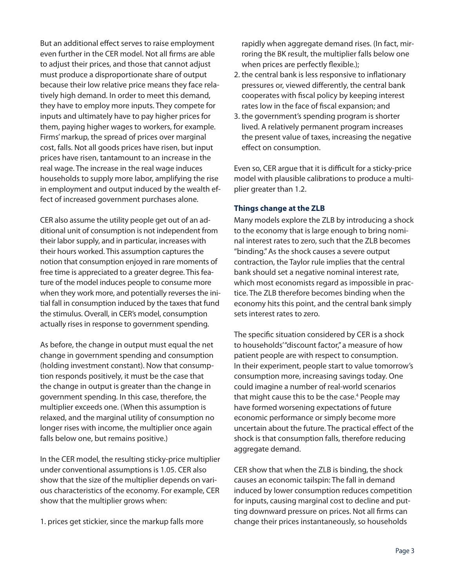But an additional effect serves to raise employment even further in the CER model. Not all firms are able to adjust their prices, and those that cannot adjust must produce a disproportionate share of output because their low relative price means they face relatively high demand. In order to meet this demand, they have to employ more inputs. They compete for inputs and ultimately have to pay higher prices for them, paying higher wages to workers, for example. Firms' markup, the spread of prices over marginal cost, falls. Not all goods prices have risen, but input prices have risen, tantamount to an increase in the real wage. The increase in the real wage induces households to supply more labor, amplifying the rise in employment and output induced by the wealth effect of increased government purchases alone.

CER also assume the utility people get out of an additional unit of consumption is not independent from their labor supply, and in particular, increases with their hours worked. This assumption captures the notion that consumption enjoyed in rare moments of free time is appreciated to a greater degree. This feature of the model induces people to consume more when they work more, and potentially reverses the initial fall in consumption induced by the taxes that fund the stimulus. Overall, in CER's model, consumption actually rises in response to government spending.

As before, the change in output must equal the net change in government spending and consumption (holding investment constant). Now that consumption responds positively, it must be the case that the change in output is greater than the change in government spending. In this case, therefore, the multiplier exceeds one. (When this assumption is relaxed, and the marginal utility of consumption no longer rises with income, the multiplier once again falls below one, but remains positive.)

In the CER model, the resulting sticky-price multiplier under conventional assumptions is 1.05. CER also show that the size of the multiplier depends on various characteristics of the economy. For example, CER show that the multiplier grows when:

1. prices get stickier, since the markup falls more

rapidly when aggregate demand rises. (In fact, mirroring the BK result, the multiplier falls below one when prices are perfectly flexible.);

- 2. the central bank is less responsive to inflationary pressures or, viewed differently, the central bank cooperates with fiscal policy by keeping interest rates low in the face of fiscal expansion; and
- 3. the government's spending program is shorter lived. A relatively permanent program increases the present value of taxes, increasing the negative effect on consumption.

Even so, CER argue that it is difficult for a sticky-price model with plausible calibrations to produce a multiplier greater than 1.2.

## **Things change at the ZLB**

Many models explore the ZLB by introducing a shock to the economy that is large enough to bring nominal interest rates to zero, such that the ZLB becomes "binding." As the shock causes a severe output contraction, the Taylor rule implies that the central bank should set a negative nominal interest rate, which most economists regard as impossible in practice. The ZLB therefore becomes binding when the economy hits this point, and the central bank simply sets interest rates to zero.

The specific situation considered by CER is a shock to households' "discount factor," a measure of how patient people are with respect to consumption. In their experiment, people start to value tomorrow's consumption more, increasing savings today. One could imagine a number of real-world scenarios that might cause this to be the case.<sup>4</sup> People may have formed worsening expectations of future economic performance or simply become more uncertain about the future. The practical effect of the shock is that consumption falls, therefore reducing aggregate demand.

CER show that when the ZLB is binding, the shock causes an economic tailspin: The fall in demand induced by lower consumption reduces competition for inputs, causing marginal cost to decline and putting downward pressure on prices. Not all firms can change their prices instantaneously, so households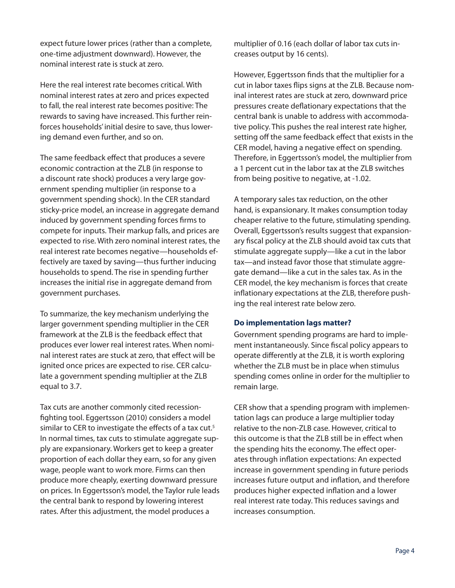expect future lower prices (rather than a complete, one-time adjustment downward). However, the nominal interest rate is stuck at zero.

Here the real interest rate becomes critical. With nominal interest rates at zero and prices expected to fall, the real interest rate becomes positive: The rewards to saving have increased. This further reinforces households' initial desire to save, thus lowering demand even further, and so on.

The same feedback effect that produces a severe economic contraction at the ZLB (in response to a discount rate shock) produces a very large government spending multiplier (in response to a government spending shock). In the CER standard sticky-price model, an increase in aggregate demand induced by government spending forces firms to compete for inputs. Their markup falls, and prices are expected to rise. With zero nominal interest rates, the real interest rate becomes negative—households effectively are taxed by saving—thus further inducing households to spend. The rise in spending further increases the initial rise in aggregate demand from government purchases.

To summarize, the key mechanism underlying the larger government spending multiplier in the CER framework at the ZLB is the feedback effect that produces ever lower real interest rates. When nominal interest rates are stuck at zero, that effect will be ignited once prices are expected to rise. CER calculate a government spending multiplier at the ZLB equal to 3.7.

Tax cuts are another commonly cited recessionfighting tool. Eggertsson (2010) considers a model similar to CER to investigate the effects of a tax cut.<sup>5</sup> In normal times, tax cuts to stimulate aggregate supply are expansionary. Workers get to keep a greater proportion of each dollar they earn, so for any given wage, people want to work more. Firms can then produce more cheaply, exerting downward pressure on prices. In Eggertsson's model, the Taylor rule leads the central bank to respond by lowering interest rates. After this adjustment, the model produces a

multiplier of 0.16 (each dollar of labor tax cuts increases output by 16 cents).

However, Eggertsson finds that the multiplier for a cut in labor taxes flips signs at the ZLB. Because nominal interest rates are stuck at zero, downward price pressures create deflationary expectations that the central bank is unable to address with accommodative policy. This pushes the real interest rate higher, setting off the same feedback effect that exists in the CER model, having a negative effect on spending. Therefore, in Eggertsson's model, the multiplier from a 1 percent cut in the labor tax at the ZLB switches from being positive to negative, at -1.02.

A temporary sales tax reduction, on the other hand, is expansionary. It makes consumption today cheaper relative to the future, stimulating spending. Overall, Eggertsson's results suggest that expansionary fiscal policy at the ZLB should avoid tax cuts that stimulate aggregate supply—like a cut in the labor tax—and instead favor those that stimulate aggregate demand—like a cut in the sales tax. As in the CER model, the key mechanism is forces that create inflationary expectations at the ZLB, therefore pushing the real interest rate below zero.

#### **Do implementation lags matter?**

Government spending programs are hard to implement instantaneously. Since fiscal policy appears to operate differently at the ZLB, it is worth exploring whether the ZLB must be in place when stimulus spending comes online in order for the multiplier to remain large.

CER show that a spending program with implementation lags can produce a large multiplier today relative to the non-ZLB case. However, critical to this outcome is that the ZLB still be in effect when the spending hits the economy. The effect operates through inflation expectations: An expected increase in government spending in future periods increases future output and inflation, and therefore produces higher expected inflation and a lower real interest rate today. This reduces savings and increases consumption.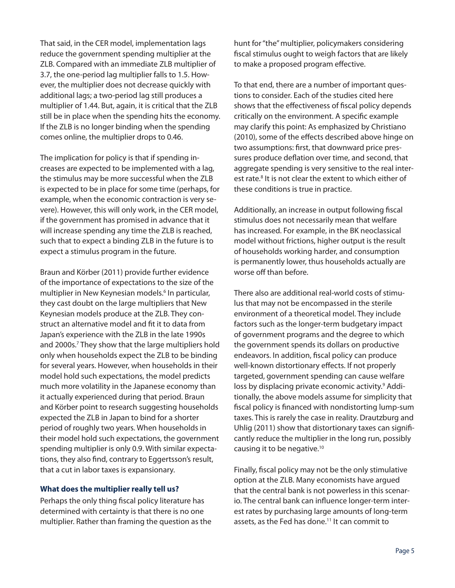That said, in the CER model, implementation lags reduce the government spending multiplier at the ZLB. Compared with an immediate ZLB multiplier of 3.7, the one-period lag multiplier falls to 1.5. However, the multiplier does not decrease quickly with additional lags; a two-period lag still produces a multiplier of 1.44. But, again, it is critical that the ZLB still be in place when the spending hits the economy. If the ZLB is no longer binding when the spending comes online, the multiplier drops to 0.46.

The implication for policy is that if spending increases are expected to be implemented with a lag, the stimulus may be more successful when the ZLB is expected to be in place for some time (perhaps, for example, when the economic contraction is very severe). However, this will only work, in the CER model, if the government has promised in advance that it will increase spending any time the ZLB is reached, such that to expect a binding ZLB in the future is to expect a stimulus program in the future.

Braun and Körber (2011) provide further evidence of the importance of expectations to the size of the multiplier in New Keynesian models.<sup>6</sup> In particular, they cast doubt on the large multipliers that New Keynesian models produce at the ZLB. They construct an alternative model and fit it to data from Japan's experience with the ZLB in the late 1990s and 2000s.<sup>7</sup> They show that the large multipliers hold only when households expect the ZLB to be binding for several years. However, when households in their model hold such expectations, the model predicts much more volatility in the Japanese economy than it actually experienced during that period. Braun and Körber point to research suggesting households expected the ZLB in Japan to bind for a shorter period of roughly two years. When households in their model hold such expectations, the government spending multiplier is only 0.9. With similar expectations, they also find, contrary to Eggertsson's result, that a cut in labor taxes is expansionary.

## **What does the multiplier really tell us?**

Perhaps the only thing fiscal policy literature has determined with certainty is that there is no one multiplier. Rather than framing the question as the hunt for "the" multiplier, policymakers considering fiscal stimulus ought to weigh factors that are likely to make a proposed program effective.

To that end, there are a number of important questions to consider. Each of the studies cited here shows that the effectiveness of fiscal policy depends critically on the environment. A specific example may clarify this point: As emphasized by Christiano (2010), some of the effects described above hinge on two assumptions: first, that downward price pressures produce deflation over time, and second, that aggregate spending is very sensitive to the real interest rate.<sup>8</sup> It is not clear the extent to which either of these conditions is true in practice.

Additionally, an increase in output following fiscal stimulus does not necessarily mean that welfare has increased. For example, in the BK neoclassical model without frictions, higher output is the result of households working harder, and consumption is permanently lower, thus households actually are worse off than before.

There also are additional real-world costs of stimulus that may not be encompassed in the sterile environment of a theoretical model. They include factors such as the longer-term budgetary impact of government programs and the degree to which the government spends its dollars on productive endeavors. In addition, fiscal policy can produce well-known distortionary effects. If not properly targeted, government spending can cause welfare loss by displacing private economic activity.<sup>9</sup> Additionally, the above models assume for simplicity that fiscal policy is financed with nondistorting lump-sum taxes. This is rarely the case in reality. Drautzburg and Uhlig (2011) show that distortionary taxes can significantly reduce the multiplier in the long run, possibly causing it to be negative.10

Finally, fiscal policy may not be the only stimulative option at the ZLB. Many economists have argued that the central bank is not powerless in this scenario. The central bank can influence longer-term interest rates by purchasing large amounts of long-term assets, as the Fed has done.<sup>11</sup> It can commit to